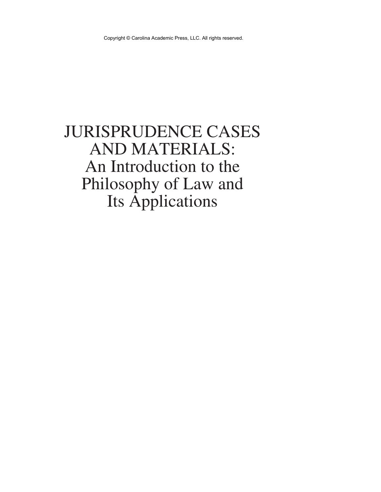# JURISPRUDENCE CASES AND MATERIALS: An Introduction to the Philosophy of Law and Its Applications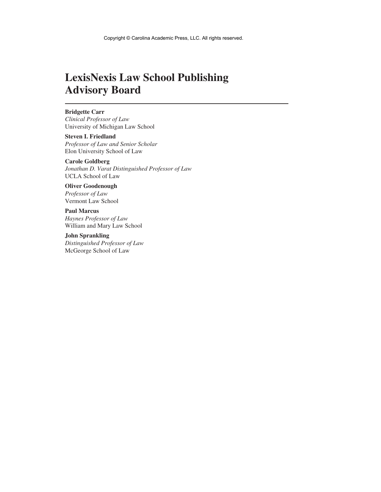## **LexisNexis Law School Publishing Advisory Board**

### **Bridgette Carr**

*Clinical Professor of Law* University of Michigan Law School

**Steven I. Friedland** *Professor of Law and Senior Scholar* Elon University School of Law

**Carole Goldberg** *Jonathan D. Varat Distinguished Professor of Law* UCLA School of Law

**Oliver Goodenough** *Professor of Law* Vermont Law School

**Paul Marcus** *Haynes Professor of Law* William and Mary Law School

**John Sprankling** *Distinguished Professor of Law* McGeorge School of Law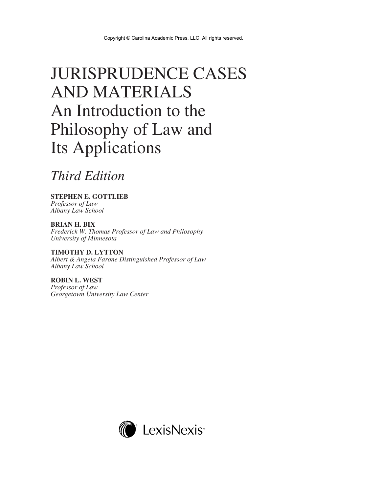# JURISPRUDENCE CASES AND MATERIALS An Introduction to the Philosophy of Law and Its Applications

## *Third Edition*

### **STEPHEN E. GOTTLIEB**

*Professor of Law Albany Law School*

**BRIAN H. BIX** *Frederick W. Thomas Professor of Law and Philosophy University of Minnesota*

**TIMOTHY D. LYTTON** *Albert & Angela Farone Distinguished Professor of Law Albany Law School*

**ROBIN L. WEST** *Professor of Law Georgetown University Law Center*

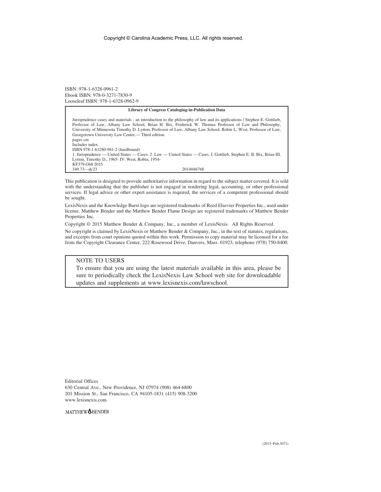ISBN: 978-1-6328-0961-2 Ebook ISBN: 978-0-3271-7830-9 Looseleaf ISBN: 978-1-6328-0962-9

#### **Library of Congress Cataloging-in-Publication Data** Jurisprudence cases and materials : an introduction to the philosophy of law and its applications / Stephen E. Gottlieb, Professor of Law, Albany Law School, Brian H. Bix, Frederick W. Thomas Professor of Law and Philosophy, University of Minnesota Timothy D. Lytton, Professor of Law, Albany Law School, Robin L. West, Professor of Law, Georgetown University Law Center.— Third edition. pages cm Includes index. ISBN 978-1-63280-961-2 (hardbound) 1. Jurisprudence — United States — Cases. 2. Law — United States — Cases. I. Gottlieb, Stephen E. II. Bix, Brian III. Lytton, Timothy D., 1965- IV. West, Robin, 1954- KF379.G68 2015 349.73—dc23 2014046768

This publication is designed to provide authoritative information in regard to the subject matter covered. It is sold with the understanding that the publisher is not engaged in rendering legal, accounting, or other professional services. If legal advice or other expert assistance is required, the services of a competent professional should be sought.

LexisNexis and the Knowledge Burst logo are registered trademarks of Reed Elsevier Properties Inc., used under license. Matthew Bender and the Matthew Bender Flame Design are registered trademarks of Matthew Bender Properties Inc.

Copyright © 2015 Matthew Bender & Company, Inc., a member of LexisNexis. All Rights Reserved.

No copyright is claimed by LexisNexis or Matthew Bender & Company, Inc., in the text of statutes, regulations, and excerpts from court opinions quoted within this work. Permission to copy material may be licensed for a fee from the Copyright Clearance Center, 222 Rosewood Drive, Danvers, Mass. 01923, telephone (978) 750-8400.

### NOTE TO USERS

To ensure that you are using the latest materials available in this area, please be sure to periodically check the LexisNexis Law School web site for downloadable updates and supplements at www.lexisnexis.com/lawschool.

Editorial Offices 630 Central Ave., New Providence, NJ 07974 (908) 464-6800 201 Mission St., San Francisco, CA 94105-1831 (415) 908-3200 www.lexisnexis.com

#### MATTHEW<sup>O</sup>BENDER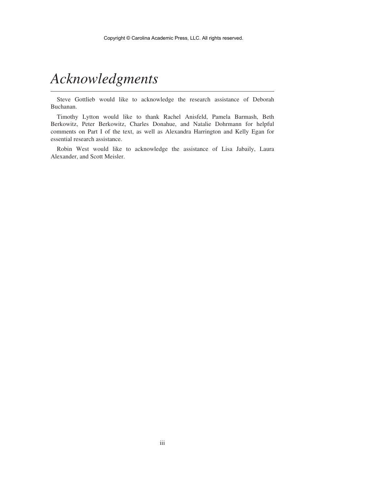## *Acknowledgments*

Steve Gottlieb would like to acknowledge the research assistance of Deborah Buchanan.

Timothy Lytton would like to thank Rachel Anisfeld, Pamela Barmash, Beth Berkowitz, Peter Berkowitz, Charles Donahue, and Natalie Dohrmann for helpful comments on Part I of the text, as well as Alexandra Harrington and Kelly Egan for essential research assistance.

Robin West would like to acknowledge the assistance of Lisa Jabaily, Laura Alexander, and Scott Meisler.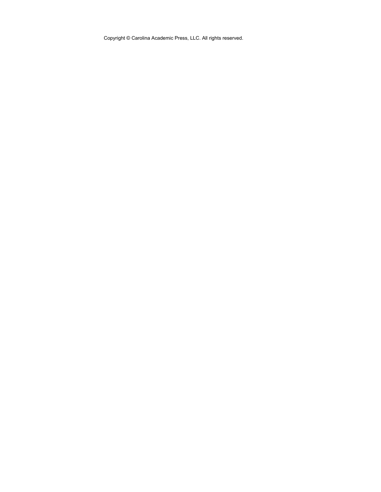Copyright © Carolina Academic Press, LLC. All rights reserved.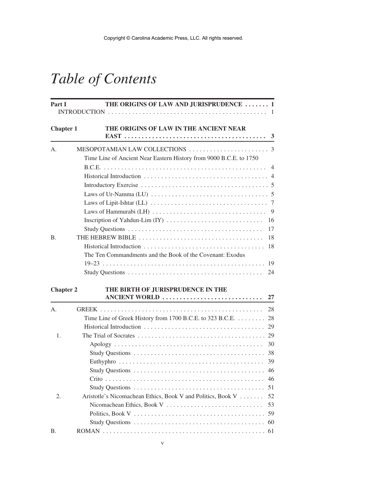| Part I           | THE ORIGINS OF LAW AND JURISPRUDENCE  1                            |    |
|------------------|--------------------------------------------------------------------|----|
| <b>Chapter 1</b> | THE ORIGINS OF LAW IN THE ANCIENT NEAR                             |    |
| А.               |                                                                    |    |
|                  | Time Line of Ancient Near Eastern History from 9000 B.C.E. to 1750 |    |
|                  |                                                                    |    |
|                  |                                                                    |    |
|                  |                                                                    |    |
|                  |                                                                    |    |
|                  |                                                                    |    |
|                  |                                                                    |    |
|                  |                                                                    |    |
|                  |                                                                    | 17 |
| Β.               | THE HEBREW BIBLE                                                   | 18 |
|                  |                                                                    |    |
|                  | The Ten Commandments and the Book of the Covenant: Exodus          |    |
|                  |                                                                    |    |
|                  |                                                                    |    |
| <b>Chapter 2</b> | THE BIRTH OF JURISPRUDENCE IN THE                                  |    |
|                  |                                                                    |    |
| А.               |                                                                    | 28 |
|                  | Time Line of Greek History from 1700 B.C.E. to 323 B.C.E. 28       |    |
|                  |                                                                    |    |
| 1.               |                                                                    |    |
|                  |                                                                    |    |
|                  |                                                                    |    |
|                  |                                                                    |    |
|                  |                                                                    |    |
|                  |                                                                    |    |
|                  |                                                                    | 51 |
| 2.               | Aristotle's Nicomachean Ethics, Book V and Politics, Book V        | 52 |
|                  |                                                                    | 53 |
|                  |                                                                    |    |
|                  |                                                                    |    |
| Β.               |                                                                    |    |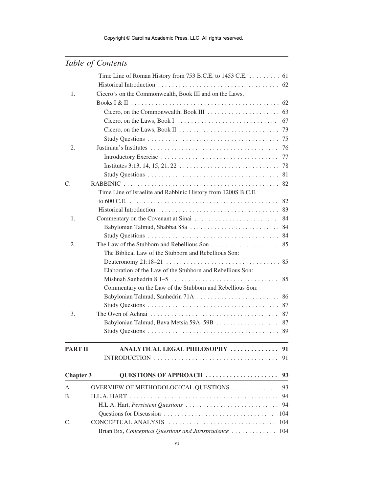|                  | Time Line of Roman History from 753 B.C.E. to 1453 C.E. 61                       |     |
|------------------|----------------------------------------------------------------------------------|-----|
|                  |                                                                                  |     |
| 1.               | Cicero's on the Commonwealth, Book III and on the Laws,                          |     |
|                  |                                                                                  |     |
|                  |                                                                                  |     |
|                  |                                                                                  |     |
|                  |                                                                                  |     |
|                  |                                                                                  |     |
| 2.               |                                                                                  |     |
|                  |                                                                                  |     |
|                  |                                                                                  |     |
|                  |                                                                                  |     |
| C.               |                                                                                  |     |
|                  | Time Line of Israelite and Rabbinic History from 1200S B.C.E.                    |     |
|                  |                                                                                  | 82  |
|                  |                                                                                  |     |
| 1.               |                                                                                  | 84  |
|                  |                                                                                  |     |
|                  |                                                                                  |     |
| 2.               | The Law of the Stubborn and Rebellious Son $\dots \dots \dots \dots \dots \dots$ | 85  |
|                  | The Biblical Law of the Stubborn and Rebellious Son:                             |     |
|                  |                                                                                  |     |
|                  | Elaboration of the Law of the Stubborn and Rebellious Son:                       |     |
|                  |                                                                                  | 85  |
|                  | Commentary on the Law of the Stubborn and Rebellious Son:                        |     |
|                  |                                                                                  |     |
|                  |                                                                                  |     |
| 3.               |                                                                                  | 87  |
|                  |                                                                                  |     |
|                  |                                                                                  |     |
| PART II          | <b>ANALYTICAL LEGAL PHILOSOPHY</b>                                               | 91  |
|                  |                                                                                  | 91  |
| <b>Chapter 3</b> | QUESTIONS OF APPROACH                                                            | 93  |
|                  |                                                                                  |     |
| А.               | OVERVIEW OF METHODOLOGICAL QUESTIONS                                             | 93  |
| Β.               |                                                                                  | 94  |
|                  |                                                                                  | 94  |
|                  |                                                                                  | 104 |
| C.               | CONCEPTUAL ANALYSIS                                                              | 104 |
|                  | Brian Bix, Conceptual Questions and Jurisprudence                                | 104 |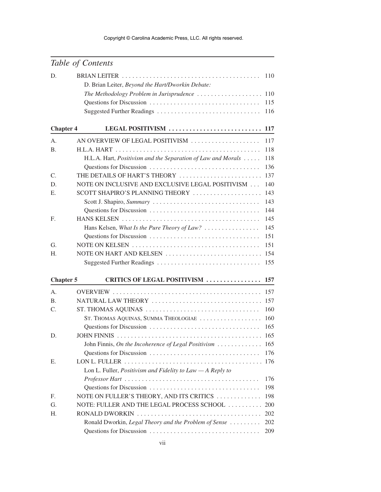|                  | Table of Contents                                                                 |     |
|------------------|-----------------------------------------------------------------------------------|-----|
| D.               |                                                                                   | 110 |
|                  | D. Brian Leiter, Beyond the Hart/Dworkin Debate:                                  |     |
|                  | The Methodology Problem in Jurisprudence $\ldots \ldots \ldots \ldots \ldots$     | 110 |
|                  | Questions for Discussion                                                          | 115 |
|                  | Suggested Further Readings                                                        | 116 |
| <b>Chapter 4</b> |                                                                                   | 117 |
| A.               | AN OVERVIEW OF LEGAL POSITIVISM                                                   | 117 |
| <b>B.</b>        |                                                                                   | 118 |
|                  | H.L.A. Hart, Positivism and the Separation of Law and Morals                      | 118 |
|                  |                                                                                   | 136 |
| $\mathcal{C}$ .  | THE DETAILS OF HART'S THEORY                                                      | 137 |
| D.               | NOTE ON INCLUSIVE AND EXCLUSIVE LEGAL POSITIVISM                                  | 140 |
| E.               | SCOTT SHAPIRO'S PLANNING THEORY                                                   | 143 |
|                  | Scott J. Shapiro, Summary                                                         | 143 |
|                  | Questions for Discussion                                                          | 144 |
| F.               |                                                                                   | 145 |
|                  | Hans Kelsen, What Is the Pure Theory of Law?                                      | 145 |
|                  |                                                                                   | 151 |
| G.               |                                                                                   | 151 |
| Н.               | NOTE ON HART AND KELSEN                                                           | 154 |
|                  | Suggested Further Readings                                                        | 155 |
| <b>Chapter 5</b> | CRITICS OF LEGAL POSITIVISM                                                       | 157 |
| А.               |                                                                                   | 157 |
| <b>B.</b>        | NATURAL LAW THEORY                                                                | 157 |
| C.               | ST. THOMAS AQUINAS                                                                | 160 |
|                  | ST. THOMAS AQUINAS, SUMMA THEOLOGIAE                                              | 160 |
|                  |                                                                                   | 165 |
| D.               |                                                                                   | 165 |
|                  | John Finnis, On the Incoherence of Legal Positivism $\ldots \ldots \ldots \ldots$ | 165 |
|                  |                                                                                   | 176 |
| Е.               |                                                                                   | 176 |
|                  | Lon L. Fuller, Positivism and Fidelity to $Law - A$ Reply to                      |     |
|                  |                                                                                   | 176 |
|                  |                                                                                   | 198 |
| F.               | NOTE ON FULLER'S THEORY, AND ITS CRITICS                                          | 198 |
| G.               | NOTE: FULLER AND THE LEGAL PROCESS SCHOOL                                         | 200 |
| Н.               |                                                                                   | 202 |
|                  | Ronald Dworkin, Legal Theory and the Problem of Sense                             | 202 |
|                  |                                                                                   | 209 |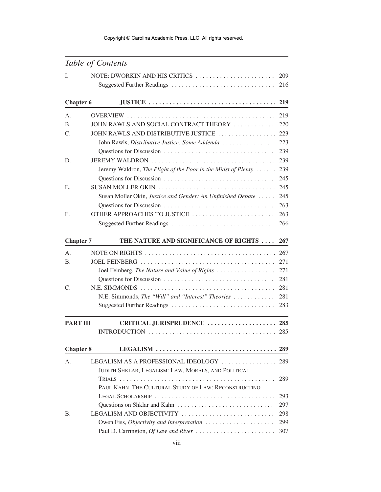| Ι.               | NOTE: DWORKIN AND HIS CRITICS                                                                  | 209 |
|------------------|------------------------------------------------------------------------------------------------|-----|
|                  | Suggested Further Readings                                                                     | 216 |
| <b>Chapter 6</b> |                                                                                                | 219 |
| A.               |                                                                                                | 219 |
| B.               | JOHN RAWLS AND SOCIAL CONTRACT THEORY                                                          | 220 |
| C.               | JOHN RAWLS AND DISTRIBUTIVE JUSTICE                                                            | 223 |
|                  | John Rawls, Distributive Justice: Some Addenda                                                 | 223 |
|                  |                                                                                                | 239 |
| D.               | JEREMY WALDRON                                                                                 | 239 |
|                  | Jeremy Waldron, The Plight of the Poor in the Midst of Plenty                                  | 239 |
|                  |                                                                                                | 245 |
| Ε.               | SUSAN MOLLER OKIN                                                                              | 245 |
|                  | Susan Moller Okin, Justice and Gender: An Unfinished Debate                                    | 245 |
|                  |                                                                                                | 263 |
| F.               | OTHER APPROACHES TO JUSTICE                                                                    | 263 |
|                  |                                                                                                | 266 |
| <b>Chapter 7</b> | THE NATURE AND SIGNIFICANCE OF RIGHTS                                                          | 267 |
| A.               | NOTE ON RIGHTS $\dots \dots \dots \dots \dots \dots \dots \dots \dots \dots \dots \dots \dots$ | 267 |
| В.               |                                                                                                | 271 |
|                  | Joel Feinberg, The Nature and Value of Rights                                                  | 271 |
|                  |                                                                                                | 281 |
| $\mathcal{C}$ .  |                                                                                                | 281 |
|                  | N.E. Simmonds, The "Will" and "Interest" Theories                                              | 281 |
|                  |                                                                                                | 283 |
| <b>PART III</b>  | CRITICAL JURISPRUDENCE  285                                                                    |     |
|                  |                                                                                                | 285 |
| <b>Chapter 8</b> | $LEGALISM$                                                                                     | 289 |
| А.               | LEGALISM AS A PROFESSIONAL IDEOLOGY                                                            | 289 |
|                  | JUDITH SHKLAR, LEGALISM: LAW, MORALS, AND POLITICAL                                            |     |
|                  |                                                                                                | 289 |
|                  | PAUL KAHN, THE CULTURAL STUDY OF LAW: RECONSTRUCTING                                           |     |
|                  |                                                                                                | 293 |
|                  |                                                                                                | 297 |
| <b>B.</b>        | LEGALISM AND OBJECTIVITY                                                                       | 298 |
|                  |                                                                                                | 299 |
|                  | Paul D. Carrington, Of Law and River                                                           | 307 |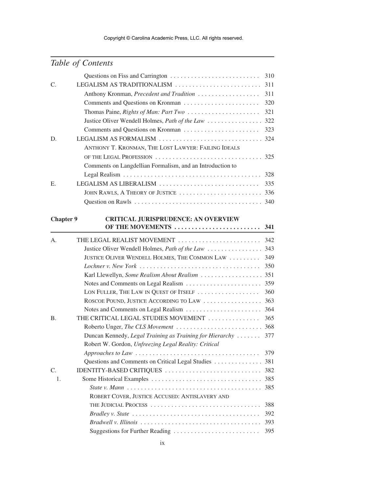|                  |                                                                                                         | 310        |
|------------------|---------------------------------------------------------------------------------------------------------|------------|
| C.               | LEGALISM AS TRADITIONALISM                                                                              | 311        |
|                  | Anthony Kronman, Precedent and Tradition                                                                | 311        |
|                  |                                                                                                         | 320        |
|                  | Thomas Paine, Rights of Man: Part Two                                                                   | 321        |
|                  | Justice Oliver Wendell Holmes, Path of the Law                                                          | 322        |
|                  |                                                                                                         | 323        |
| D.               |                                                                                                         |            |
|                  | ANTHONY T. KRONMAN, THE LOST LAWYER: FAILING IDEALS                                                     |            |
|                  |                                                                                                         |            |
|                  | Comments on Langdellian Formalism, and an Introduction to                                               |            |
|                  |                                                                                                         |            |
| E.               | LEGALISM AS LIBERALISM                                                                                  | 335        |
|                  |                                                                                                         |            |
|                  |                                                                                                         |            |
|                  |                                                                                                         |            |
| <b>Chapter 9</b> | <b>CRITICAL JURISPRUDENCE: AN OVERVIEW</b>                                                              |            |
|                  | OF THE MOVEMENTS                                                                                        | 341        |
| А.               | THE LEGAL REALIST MOVEMENT                                                                              | 342        |
|                  |                                                                                                         |            |
|                  | JUSTICE OLIVER WENDELL HOLMES, THE COMMON LAW                                                           | 349        |
|                  |                                                                                                         | 350        |
|                  | Karl Llewellyn, Some Realism About Realism  351                                                         |            |
|                  |                                                                                                         | 359        |
|                  | LON FULLER, THE LAW IN QUEST OF ITSELF                                                                  | 360        |
|                  | ROSCOE POUND, JUSTICE ACCORDING TO LAW                                                                  | 363        |
|                  |                                                                                                         |            |
| Β.               | THE CRITICAL LEGAL STUDIES MOVEMENT                                                                     | 365        |
|                  | Roberto Unger, The CLS Movement                                                                         | 368        |
|                  | Duncan Kennedy, Legal Training as Training for Hierarchy                                                | 377        |
|                  | Robert W. Gordon, Unfreezing Legal Reality: Critical                                                    |            |
|                  | Approaches to Law $\ldots \ldots \ldots \ldots \ldots \ldots \ldots \ldots \ldots \ldots \ldots \ldots$ | 379        |
|                  | Questions and Comments on Critical Legal Studies                                                        | 381        |
| C.               | IDENTITY-BASED CRITIQUES                                                                                | 382        |
| 1.               |                                                                                                         | 385        |
|                  |                                                                                                         | 385        |
|                  | ROBERT COVER, JUSTICE ACCUSED: ANTISLAVERY AND<br>THE JUDICIAL PROCESS                                  |            |
|                  |                                                                                                         | 388<br>392 |
|                  |                                                                                                         | 393        |
|                  | Suggestions for Further Reading                                                                         | 395        |
|                  |                                                                                                         |            |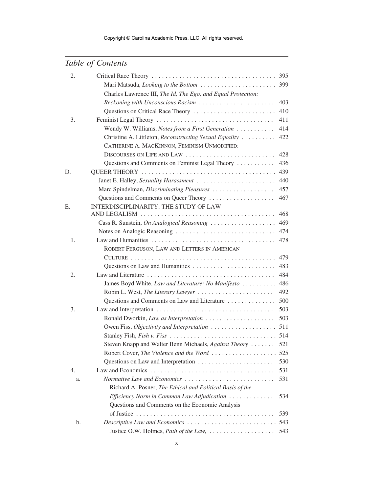| 2. |                                                                                              | 395 |
|----|----------------------------------------------------------------------------------------------|-----|
|    |                                                                                              |     |
|    | Charles Lawrence III, The Id, The Ego, and Equal Protection:                                 |     |
|    | Reckoning with Unconscious Racism                                                            | 403 |
|    | Questions on Critical Race Theory                                                            | 410 |
| 3. |                                                                                              | 411 |
|    | Wendy W. Williams, Notes from a First Generation                                             | 414 |
|    | Christine A. Littleton, Reconstructing Sexual Equality                                       | 422 |
|    | CATHERINE A. MACKINNON, FEMINISM UNMODIFIED:                                                 |     |
|    | DISCOURSES ON LIFE AND LAW                                                                   | 428 |
|    | Questions and Comments on Feminist Legal Theory                                              | 436 |
| D. |                                                                                              | 439 |
|    | Janet E. Halley, Sexuality Harassment                                                        | 440 |
|    | Marc Spindelman, Discriminating Pleasures                                                    | 457 |
|    | Questions and Comments on Queer Theory                                                       | 467 |
| Е. | <b>INTERDISCIPLINARITY: THE STUDY OF LAW</b>                                                 |     |
|    |                                                                                              | 468 |
|    | Cass R. Sunstein, On Analogical Reasoning                                                    | 469 |
|    |                                                                                              |     |
| 1. |                                                                                              |     |
|    | ROBERT FERGUSON, LAW AND LETTERS IN AMERICAN                                                 |     |
|    |                                                                                              | 479 |
|    |                                                                                              | 483 |
| 2. |                                                                                              | 484 |
|    | James Boyd White, Law and Literature: No Manifesto                                           | 486 |
|    |                                                                                              | 492 |
|    | Questions and Comments on Law and Literature                                                 | 500 |
| 3. |                                                                                              | 503 |
|    | Ronald Dworkin, Law as Interpretation                                                        | 503 |
|    |                                                                                              |     |
|    |                                                                                              |     |
|    | Steven Knapp and Walter Benn Michaels, Against Theory                                        | 521 |
|    | Robert Cover, The Violence and the Word                                                      | 525 |
|    |                                                                                              | 530 |
| 4. |                                                                                              | 531 |
| a. | Normative Law and Economics $\ldots \ldots \ldots \ldots \ldots \ldots \ldots \ldots \ldots$ | 531 |
|    | Richard A. Posner, The Ethical and Political Basis of the                                    |     |
|    | Efficiency Norm in Common Law Adjudication                                                   | 534 |
|    | Questions and Comments on the Economic Analysis                                              |     |
|    |                                                                                              | 539 |
| b. | Descriptive Law and Economics                                                                | 543 |
|    |                                                                                              | 543 |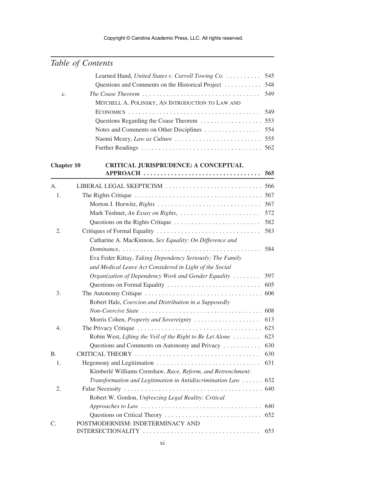|                   | Table of Contents                                                                                                                                         |                   |
|-------------------|-----------------------------------------------------------------------------------------------------------------------------------------------------------|-------------------|
| c.                | Learned Hand, United States v. Carroll Towing Co.<br>Questions and Comments on the Historical Project<br>MITCHELL A. POLINSKY, AN INTRODUCTION TO LAW AND | 545<br>548<br>549 |
|                   |                                                                                                                                                           | 549               |
|                   | Questions Regarding the Coase Theorem                                                                                                                     | 553               |
|                   | Notes and Comments on Other Disciplines                                                                                                                   | 554               |
|                   |                                                                                                                                                           | 555               |
|                   |                                                                                                                                                           |                   |
| <b>Chapter 10</b> | <b>CRITICAL JURISPRUDENCE: A CONCEPTUAL</b><br>APPROACH                                                                                                   | 565               |
| А.                |                                                                                                                                                           |                   |
| 1.                | The Rights Critique $\ldots \ldots \ldots \ldots \ldots \ldots \ldots \ldots \ldots \ldots \ldots \ldots$ 567                                             |                   |
|                   |                                                                                                                                                           | 567               |
|                   | Mark Tushnet, An Essay on Rights,                                                                                                                         | 572               |
|                   |                                                                                                                                                           | 582               |
| 2.                | Critiques of Formal Equality                                                                                                                              | 583               |
|                   | Catharine A. MacKinnon, Sex Equality: On Difference and                                                                                                   |                   |
|                   |                                                                                                                                                           | 584               |
|                   | Eva Feder Kittay, Taking Dependency Seriously: The Family                                                                                                 |                   |
|                   | and Medical Leave Act Considered in Light of the Social                                                                                                   |                   |
|                   | Organization of Dependency Work and Gender Equality                                                                                                       | 597               |
|                   | Questions on Formal Equality                                                                                                                              | 605               |
| 3.                |                                                                                                                                                           | 606               |
|                   | Robert Hale, Coercion and Distribution in a Supposedly                                                                                                    |                   |
|                   |                                                                                                                                                           | 608               |
|                   | Morris Cohen, Property and Sovereignty                                                                                                                    | 613               |
| 4.                |                                                                                                                                                           | 623               |
|                   | Robin West, Lifting the Veil of the Right to Be Let Alone  623                                                                                            |                   |
|                   | Questions and Comments on Autonomy and Privacy                                                                                                            | 630               |
| <b>B.</b>         | CRITICAL THEORY                                                                                                                                           | 630               |
| 1.                |                                                                                                                                                           | 631               |
|                   | Kimberlé Williams Crenshaw, Race, Reform, and Retrenchment:                                                                                               |                   |
|                   | Transformation and Legitimation in Antidiscrimination Law $\ldots$ . 632                                                                                  |                   |
| 2.                |                                                                                                                                                           |                   |
|                   | Robert W. Gordon, Unfreezing Legal Reality: Critical                                                                                                      |                   |
|                   | Approaches to Law $\dots \dots \dots \dots \dots \dots \dots \dots \dots \dots \dots \dots$                                                               | 640               |
|                   |                                                                                                                                                           |                   |
| C.                | POSTMODERNISM: INDETERMINACY AND                                                                                                                          | 653               |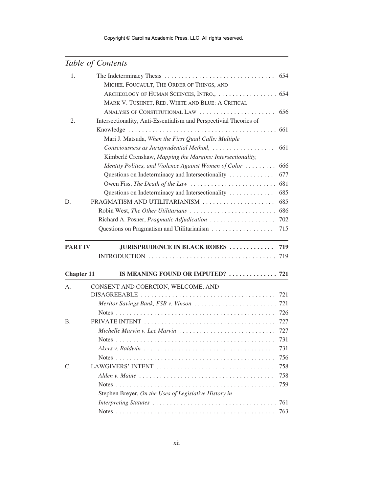| 1.                |                                                                    | 654 |
|-------------------|--------------------------------------------------------------------|-----|
|                   | MICHEL FOUCAULT, THE ORDER OF THINGS, AND                          |     |
|                   |                                                                    |     |
|                   | MARK V. TUSHNET, RED, WHITE AND BLUE: A CRITICAL                   |     |
|                   | ANALYSIS OF CONSTITUTIONAL LAW                                     | 656 |
| 2.                | Intersectionality, Anti-Essentialism and Perspectivial Theories of |     |
|                   |                                                                    | 661 |
|                   | Mari J. Matsuda, When the First Quail Calls: Multiple              |     |
|                   | Consciousness as Jurisprudential Method,                           | 661 |
|                   | Kimberlé Crenshaw, Mapping the Margins: Intersectionality,         |     |
|                   | Identity Politics, and Violence Against Women of Color             | 666 |
|                   | Questions on Indeterminacy and Intersectionality                   | 677 |
|                   | Owen Fiss, The Death of the Law                                    | 681 |
|                   | Questions on Indeterminacy and Intersectionality                   | 685 |
| D.                | PRAGMATISM AND UTILITARIANISM                                      | 685 |
|                   | Robin West, The Other Utilitarians                                 | 686 |
|                   | Richard A. Posner, Pragmatic Adjudication                          | 702 |
|                   |                                                                    | 715 |
|                   |                                                                    |     |
| <b>PART IV</b>    | <b>JURISPRUDENCE IN BLACK ROBES</b>                                | 719 |
|                   |                                                                    |     |
|                   |                                                                    |     |
| <b>Chapter 11</b> | IS MEANING FOUND OR IMPUTED?  721                                  |     |
| А.                | CONSENT AND COERCION, WELCOME, AND                                 |     |
|                   |                                                                    | 721 |
|                   |                                                                    |     |
|                   |                                                                    | 726 |
| <b>B.</b>         |                                                                    | 727 |
|                   | Michelle Marvin v. Lee Marvin                                      | 727 |
|                   |                                                                    | 731 |
|                   |                                                                    | 731 |
|                   |                                                                    | 756 |
| C.                |                                                                    | 758 |
|                   | Alden v. Maine                                                     | 758 |
|                   |                                                                    | 759 |
|                   | Stephen Breyer, On the Uses of Legislative History in              |     |
|                   |                                                                    |     |
|                   |                                                                    | 761 |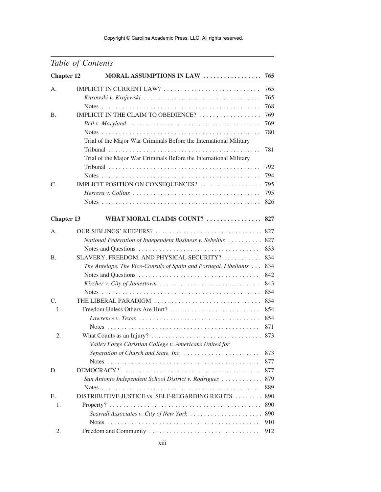|  |  | Table of Contents |
|--|--|-------------------|
|--|--|-------------------|

| <b>Chapter 12</b> | MORAL ASSUMPTIONS IN LAW                                                                                                                                | 765 |
|-------------------|---------------------------------------------------------------------------------------------------------------------------------------------------------|-----|
| A.                |                                                                                                                                                         | 765 |
|                   |                                                                                                                                                         | 765 |
|                   |                                                                                                                                                         | 768 |
| B.                | IMPLICIT IN THE CLAIM TO OBEDIENCE?                                                                                                                     | 769 |
|                   | Bell v. Maryland $\ldots \ldots \ldots \ldots \ldots \ldots \ldots \ldots \ldots \ldots \ldots \ldots$                                                  | 769 |
|                   | Trial of the Major War Criminals Before the International Military                                                                                      | 780 |
|                   | Trial of the Major War Criminals Before the International Military                                                                                      | 781 |
|                   |                                                                                                                                                         | 792 |
|                   |                                                                                                                                                         | 794 |
| $\mathcal{C}$ .   | IMPLICIT POSITION ON CONSEQUENCES?                                                                                                                      | 795 |
|                   |                                                                                                                                                         | 795 |
|                   |                                                                                                                                                         | 826 |
| <b>Chapter 13</b> | WHAT MORAL CLAIMS COUNT?  827                                                                                                                           |     |
| A.                |                                                                                                                                                         |     |
|                   | National Federation of Independent Business v. Sebelius                                                                                                 | 827 |
|                   |                                                                                                                                                         | 833 |
| B.                | SLAVERY, FREEDOM, AND PHYSICAL SECURITY?                                                                                                                | 834 |
|                   | The Antelope. The Vice-Consuls of Spain and Portugal, Libellants                                                                                        | 834 |
|                   |                                                                                                                                                         | 842 |
|                   | Kircher v. City of Jamestown                                                                                                                            | 843 |
|                   |                                                                                                                                                         | 854 |
| C.                | THE LIBERAL PARADIGM                                                                                                                                    | 854 |
| 1.                | Freedom Unless Others Are Hurt?                                                                                                                         | 854 |
|                   |                                                                                                                                                         | 854 |
|                   |                                                                                                                                                         | 871 |
| 2.                | What Counts as an Injury? $\dots \dots \dots \dots \dots \dots \dots \dots \dots \dots \dots$<br>Valley Forge Christian College v. Americans United for | 873 |
|                   |                                                                                                                                                         | 873 |
|                   |                                                                                                                                                         | 877 |
| D.                |                                                                                                                                                         | 877 |
|                   | San Antonio Independent School District v. Rodriguez                                                                                                    | 879 |
|                   |                                                                                                                                                         | 889 |
| Ε.                | DISTRIBUTIVE JUSTICE vs. SELF-REGARDING RIGHTS                                                                                                          | 890 |
| 1.                |                                                                                                                                                         | 890 |
|                   | Seawall Associates v. City of New York                                                                                                                  | 890 |
|                   |                                                                                                                                                         | 910 |
| 2.                |                                                                                                                                                         | 912 |